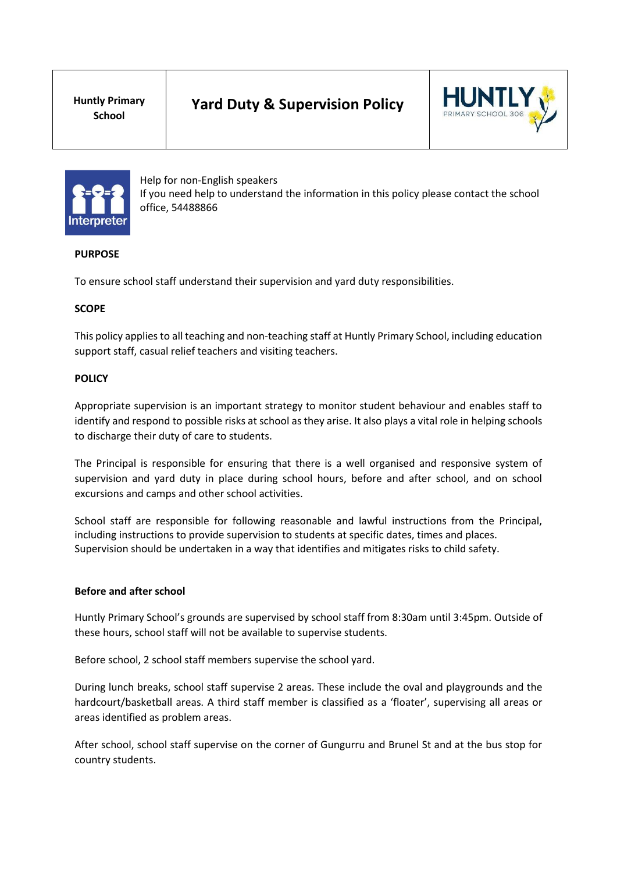**Huntly Primary School**





Help for non-English speakers If you need help to understand the information in this policy please contact the school office, 54488866

# **PURPOSE**

To ensure school staff understand their supervision and yard duty responsibilities.

#### **SCOPE**

This policy applies to all teaching and non-teaching staff at Huntly Primary School, including education support staff, casual relief teachers and visiting teachers.

#### **POLICY**

Appropriate supervision is an important strategy to monitor student behaviour and enables staff to identify and respond to possible risks at school as they arise. It also plays a vital role in helping schools to discharge their duty of care to students.

The Principal is responsible for ensuring that there is a well organised and responsive system of supervision and yard duty in place during school hours, before and after school, and on school excursions and camps and other school activities.

School staff are responsible for following reasonable and lawful instructions from the Principal, including instructions to provide supervision to students at specific dates, times and places. Supervision should be undertaken in a way that identifies and mitigates risks to child safety.

#### **Before and after school**

Huntly Primary School's grounds are supervised by school staff from 8:30am until 3:45pm. Outside of these hours, school staff will not be available to supervise students.

Before school, 2 school staff members supervise the school yard.

During lunch breaks, school staff supervise 2 areas. These include the oval and playgrounds and the hardcourt/basketball areas. A third staff member is classified as a 'floater', supervising all areas or areas identified as problem areas.

After school, school staff supervise on the corner of Gungurru and Brunel St and at the bus stop for country students.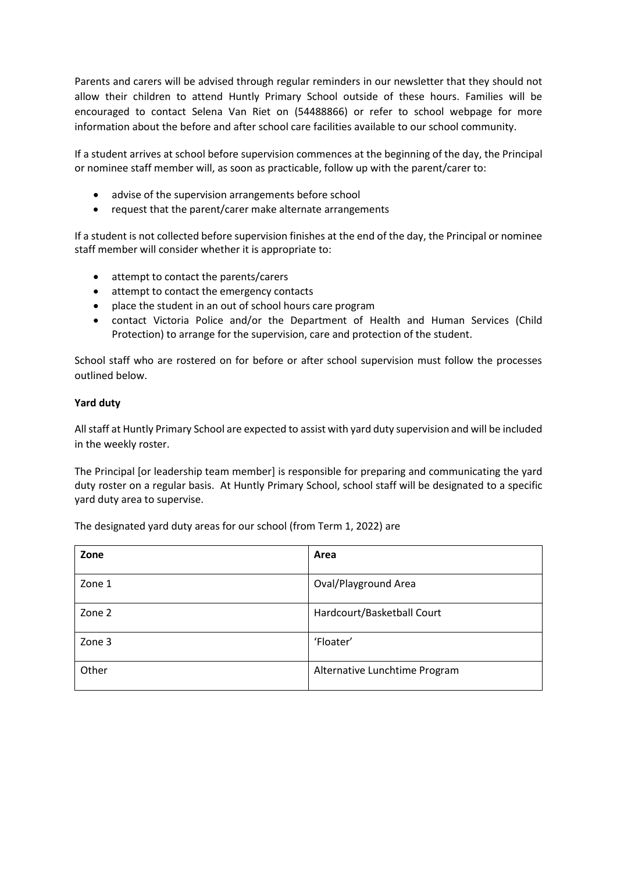Parents and carers will be advised through regular reminders in our newsletter that they should not allow their children to attend Huntly Primary School outside of these hours. Families will be encouraged to contact Selena Van Riet on (54488866) or refer to school webpage for more information about the before and after school care facilities available to our school community.

If a student arrives at school before supervision commences at the beginning of the day, the Principal or nominee staff member will, as soon as practicable, follow up with the parent/carer to:

- advise of the supervision arrangements before school
- request that the parent/carer make alternate arrangements

If a student is not collected before supervision finishes at the end of the day, the Principal or nominee staff member will consider whether it is appropriate to:

- attempt to contact the parents/carers
- attempt to contact the emergency contacts
- place the student in an out of school hours care program
- contact Victoria Police and/or the Department of Health and Human Services (Child Protection) to arrange for the supervision, care and protection of the student.

School staff who are rostered on for before or after school supervision must follow the processes outlined below.

#### **Yard duty**

All staff at Huntly Primary School are expected to assist with yard duty supervision and will be included in the weekly roster.

The Principal [or leadership team member] is responsible for preparing and communicating the yard duty roster on a regular basis. At Huntly Primary School, school staff will be designated to a specific yard duty area to supervise.

The designated yard duty areas for our school (from Term 1, 2022) are

| Zone   | Area                          |
|--------|-------------------------------|
| Zone 1 | Oval/Playground Area          |
| Zone 2 | Hardcourt/Basketball Court    |
| Zone 3 | 'Floater'                     |
| Other  | Alternative Lunchtime Program |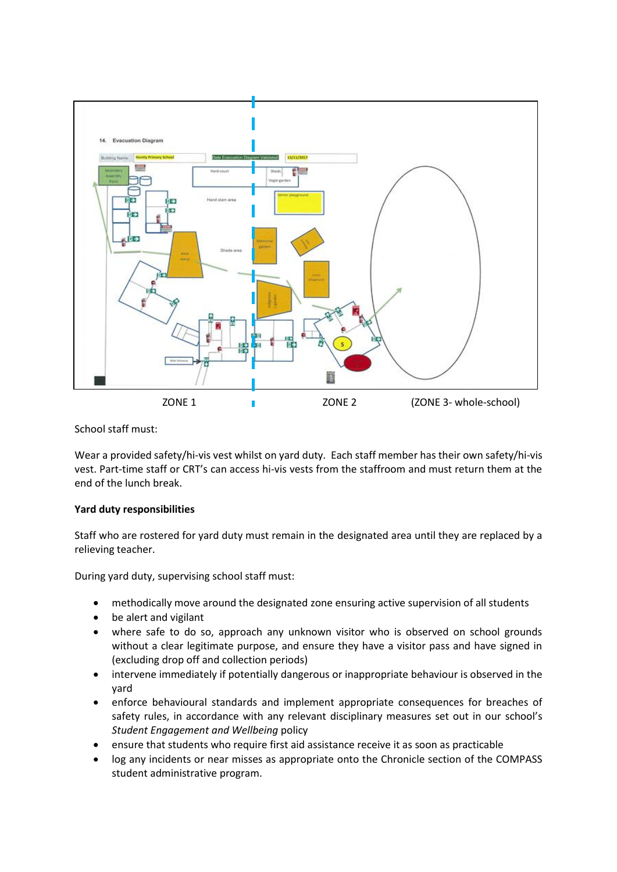

School staff must:

Wear a provided safety/hi-vis vest whilst on yard duty. Each staff member has their own safety/hi-vis vest. Part-time staff or CRT's can access hi-vis vests from the staffroom and must return them at the end of the lunch break.

# **Yard duty responsibilities**

Staff who are rostered for yard duty must remain in the designated area until they are replaced by a relieving teacher.

During yard duty, supervising school staff must:

- methodically move around the designated zone ensuring active supervision of all students
- be alert and vigilant
- where safe to do so, approach any unknown visitor who is observed on school grounds without a clear legitimate purpose, and ensure they have a visitor pass and have signed in (excluding drop off and collection periods)
- intervene immediately if potentially dangerous or inappropriate behaviour is observed in the yard
- enforce behavioural standards and implement appropriate consequences for breaches of safety rules, in accordance with any relevant disciplinary measures set out in our school's *Student Engagement and Wellbeing* policy
- ensure that students who require first aid assistance receive it as soon as practicable
- log any incidents or near misses as appropriate onto the Chronicle section of the COMPASS student administrative program.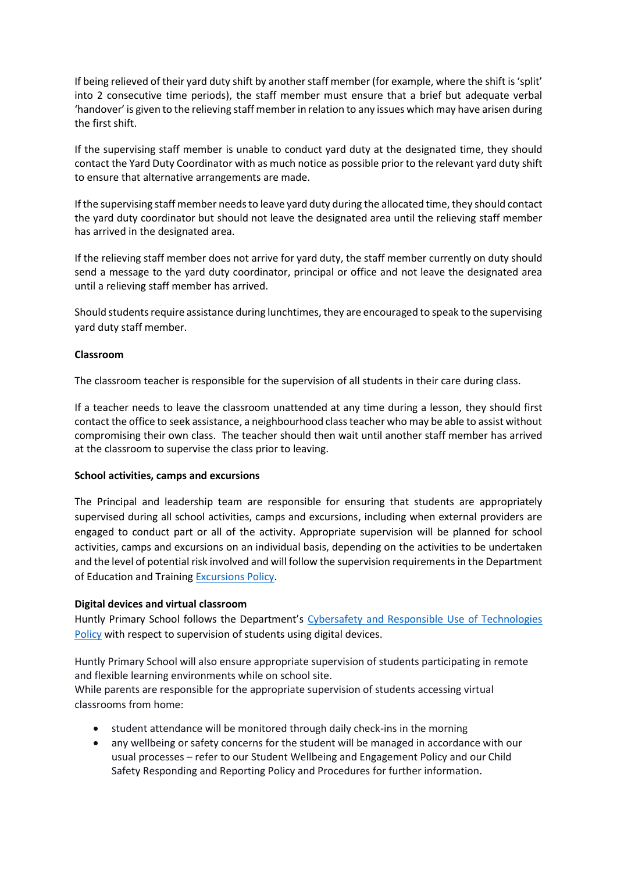If being relieved of their yard duty shift by another staff member (for example, where the shift is 'split' into 2 consecutive time periods), the staff member must ensure that a brief but adequate verbal 'handover' is given to the relieving staff member in relation to any issues which may have arisen during the first shift.

If the supervising staff member is unable to conduct yard duty at the designated time, they should contact the Yard Duty Coordinator with as much notice as possible prior to the relevant yard duty shift to ensure that alternative arrangements are made.

If the supervising staff member needs to leave yard duty during the allocated time, they should contact the yard duty coordinator but should not leave the designated area until the relieving staff member has arrived in the designated area.

If the relieving staff member does not arrive for yard duty, the staff member currently on duty should send a message to the yard duty coordinator, principal or office and not leave the designated area until a relieving staff member has arrived.

Should students require assistance during lunchtimes, they are encouraged to speak to the supervising yard duty staff member.

## **Classroom**

The classroom teacher is responsible for the supervision of all students in their care during class.

If a teacher needs to leave the classroom unattended at any time during a lesson, they should first contact the office to seek assistance, a neighbourhood class teacher who may be able to assist without compromising their own class. The teacher should then wait until another staff member has arrived at the classroom to supervise the class prior to leaving.

#### **School activities, camps and excursions**

The Principal and leadership team are responsible for ensuring that students are appropriately supervised during all school activities, camps and excursions, including when external providers are engaged to conduct part or all of the activity. Appropriate supervision will be planned for school activities, camps and excursions on an individual basis, depending on the activities to be undertaken and the level of potential risk involved and will follow the supervision requirements in the Department of Education and Training [Excursions Policy.](https://www2.education.vic.gov.au/pal/excursions/policy)

#### **Digital devices and virtual classroom**

Huntly Primary School follows the Department's [Cybersafety and Responsible Use of Technologies](https://www2.education.vic.gov.au/pal/cybersafety/policy)  [Policy](https://www2.education.vic.gov.au/pal/cybersafety/policy) with respect to supervision of students using digital devices.

Huntly Primary School will also ensure appropriate supervision of students participating in remote and flexible learning environments while on school site.

While parents are responsible for the appropriate supervision of students accessing virtual classrooms from home:

- student attendance will be monitored through daily check-ins in the morning
- any wellbeing or safety concerns for the student will be managed in accordance with our usual processes – refer to our Student Wellbeing and Engagement Policy and our Child Safety Responding and Reporting Policy and Procedures for further information.